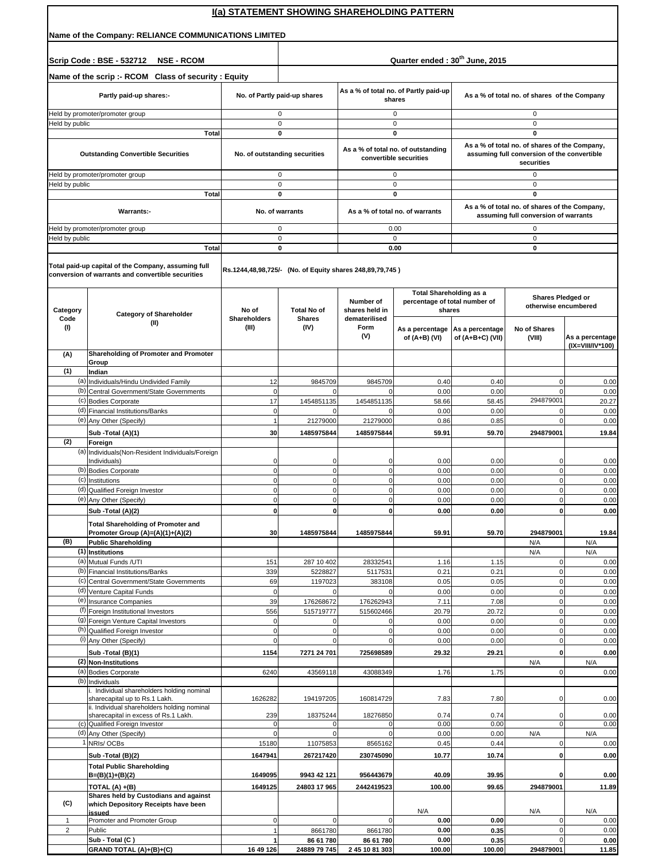|                  | I(a) STATEMENT SHOWING SHAREHOLDING PATTERN                                                                               |                                |                                                          |                                              |                                                              |                                              |                                                                                                            |                                     |  |  |  |
|------------------|---------------------------------------------------------------------------------------------------------------------------|--------------------------------|----------------------------------------------------------|----------------------------------------------|--------------------------------------------------------------|----------------------------------------------|------------------------------------------------------------------------------------------------------------|-------------------------------------|--|--|--|
|                  | Name of the Company: RELIANCE COMMUNICATIONS LIMITED                                                                      |                                |                                                          |                                              |                                                              |                                              |                                                                                                            |                                     |  |  |  |
|                  | Scrip Code: BSE - 532712<br><b>NSE - RCOM</b>                                                                             |                                | Quarter ended: 30 <sup>th</sup> June, 2015               |                                              |                                                              |                                              |                                                                                                            |                                     |  |  |  |
|                  | Name of the scrip :- RCOM Class of security : Equity                                                                      |                                |                                                          |                                              |                                                              |                                              |                                                                                                            |                                     |  |  |  |
|                  | Partly paid-up shares:-                                                                                                   |                                | No. of Partly paid-up shares                             |                                              | As a % of total no. of Partly paid-up<br>shares              | As a % of total no. of shares of the Company |                                                                                                            |                                     |  |  |  |
|                  | Held by promoter/promoter group                                                                                           |                                | 0                                                        |                                              | 0                                                            |                                              | 0                                                                                                          |                                     |  |  |  |
| Held by public   | <b>Total</b>                                                                                                              |                                | 0<br>0                                                   |                                              | 0<br>0                                                       |                                              | $\mathbf 0$<br>0                                                                                           |                                     |  |  |  |
|                  | <b>Outstanding Convertible Securities</b>                                                                                 |                                | No. of outstanding securities                            |                                              | As a % of total no. of outstanding<br>convertible securities |                                              | As a % of total no. of shares of the Company,<br>assuming full conversion of the convertible<br>securities |                                     |  |  |  |
|                  | Held by promoter/promoter group                                                                                           |                                | 0                                                        |                                              | 0                                                            |                                              | 0                                                                                                          |                                     |  |  |  |
| Held by public   | Total                                                                                                                     |                                | 0<br>0                                                   |                                              | $\pmb{0}$<br>0                                               |                                              | 0<br>0                                                                                                     |                                     |  |  |  |
|                  | Warrants:-                                                                                                                |                                | No. of warrants                                          |                                              | As a % of total no. of warrants                              |                                              | As a % of total no. of shares of the Company,<br>assuming full conversion of warrants                      |                                     |  |  |  |
|                  | Held by promoter/promoter group                                                                                           |                                | 0                                                        |                                              | 0.00                                                         |                                              | 0                                                                                                          |                                     |  |  |  |
| Held by public   | <b>Total</b>                                                                                                              |                                | 0<br>0                                                   |                                              | $\mathbf 0$<br>0.00                                          |                                              | 0<br>0                                                                                                     |                                     |  |  |  |
|                  | Total paid-up capital of the Company, assuming full<br>conversion of warrants and convertible securities                  |                                | Rs.1244,48,98,725/- (No. of Equity shares 248,89,79,745) |                                              | <b>Total Shareholding as a</b>                               |                                              |                                                                                                            |                                     |  |  |  |
| Category<br>Code | <b>Category of Shareholder</b><br>(II)                                                                                    | No of<br>Shareholders          | <b>Total No of</b><br><b>Shares</b>                      | Number of<br>shares held in<br>dematerilised | percentage of total number of<br>shares                      |                                              | Shares Pledged or<br>otherwise encumbered                                                                  |                                     |  |  |  |
| (1)              |                                                                                                                           | (III)                          | (IV)                                                     | Form<br>(V)                                  | As a percentage<br>of (A+B) (VI)                             | As a percentage<br>of (A+B+C) (VII)          | No of Shares<br>(VIII)                                                                                     | As a percentage<br>(IX=VIII/IV*100) |  |  |  |
| (A)              | Shareholding of Promoter and Promoter<br>Group                                                                            |                                |                                                          |                                              |                                                              |                                              |                                                                                                            |                                     |  |  |  |
| (1)              | Indian                                                                                                                    |                                |                                                          |                                              |                                                              |                                              |                                                                                                            |                                     |  |  |  |
| (b)              | (a) Individuals/Hindu Undivided Family<br>Central Government/State Governments                                            | 12<br>$\mathbf 0$              | 9845709<br>$\Omega$                                      | 9845709<br>0                                 | 0.40<br>0.00                                                 | 0.40<br>0.00                                 | $\mathbf 0$<br>$\mathbf 0$                                                                                 | 0.00<br>0.00                        |  |  |  |
|                  | (c) Bodies Corporate                                                                                                      | 17                             | 1454851135                                               | 1454851135                                   | 58.66                                                        | 58.45                                        | 294879001                                                                                                  | 20.27                               |  |  |  |
|                  | (d) Financial Institutions/Banks                                                                                          | $\mathbf 0$<br>$\mathbf{1}$    | $\mathbf 0$                                              | 0                                            | 0.00<br>0.86                                                 | 0.00<br>0.85                                 | $\mathbf 0$<br>$\Omega$                                                                                    | 0.00                                |  |  |  |
|                  | (e) Any Other (Specify)<br>Sub -Total (A)(1)                                                                              | 30                             | 21279000<br>1485975844                                   | 21279000<br>1485975844                       | 59.91                                                        | 59.70                                        | 294879001                                                                                                  | 0.00<br>19.84                       |  |  |  |
| (2)              | Foreign                                                                                                                   |                                |                                                          |                                              |                                                              |                                              |                                                                                                            |                                     |  |  |  |
| (a)              | Individuals(Non-Resident Individuals/Foreign<br>Individuals)<br>(b) Bodies Corporate                                      | 0<br>$\mathbf 0$               | 0<br>$\mathbf 0$                                         | 0<br>0                                       | 0.00<br>0.00                                                 | 0.00<br>0.00                                 | $\mathbf 0$<br>$\overline{0}$                                                                              | 0.00<br>0.00                        |  |  |  |
| (c)              | Institutions                                                                                                              | $\mathbf 0$                    | $\mathbf 0$                                              | 0                                            | 0.00                                                         | 0.00                                         | $\overline{0}$                                                                                             | 0.00                                |  |  |  |
|                  | (d) Qualified Foreign Investor                                                                                            | $\mathbf 0$                    | $\mathbf 0$                                              | 0                                            | 0.00                                                         | 0.00                                         | $\mathbf{0}$                                                                                               | 0.00                                |  |  |  |
|                  | (e) Any Other (Specify)<br>Sub - Total (A)(2)                                                                             | $\overline{0}$<br>$\mathbf{0}$ | $\mathbf 0$<br>$\mathbf 0$                               | $\mathbf{0}$<br>0                            | 0.00<br>0.00                                                 | 0.00<br>0.00                                 | $\overline{0}$<br>0                                                                                        | 0.00<br>0.00                        |  |  |  |
|                  | <b>Total Shareholding of Promoter and</b><br>Promoter Group (A)=(A)(1)+(A)(2)                                             | 30                             | 1485975844                                               | 1485975844                                   | 59.91                                                        | 59.70                                        | 294879001                                                                                                  | 19.84                               |  |  |  |
| (B)              | <b>Public Shareholding</b><br>(1) Institutions                                                                            |                                |                                                          |                                              |                                                              |                                              | N/A<br>N/A                                                                                                 | N/A<br>N/A                          |  |  |  |
|                  | (a) Mutual Funds / UTI                                                                                                    | 151                            | 287 10 402                                               | 28332541                                     | 1.16                                                         | 1.15                                         | $\mathbf 0$                                                                                                | 0.00                                |  |  |  |
| (b)<br>(c)       | <b>Financial Institutions/Banks</b>                                                                                       | 339                            | 5228827                                                  | 5117531                                      | 0.21<br>0.05                                                 | 0.21<br>0.05                                 | $\overline{0}$<br>$\overline{0}$                                                                           | 0.00                                |  |  |  |
|                  | Central Government/State Governments<br>(d) Venture Capital Funds                                                         | 69<br>$\mathbf 0$              | 1197023<br>$\mathbf 0$                                   | 383108<br>0                                  | 0.00                                                         | 0.00                                         | $\overline{0}$                                                                                             | 0.00<br>0.00                        |  |  |  |
|                  | (e) Insurance Companies                                                                                                   | 39                             | 176268672                                                | 176262943                                    | 7.11                                                         | 7.08                                         | $\overline{0}$                                                                                             | 0.00                                |  |  |  |
|                  | (f) Foreign Institutional Investors<br>(9) Foreign Venture Capital Investors                                              | 556<br>$\mathbf 0$             | 515719777<br>$\mathbf 0$                                 | 515602466<br>0                               | 20.79<br>0.00                                                | 20.72<br>0.00                                | $\overline{0}$<br>$\overline{0}$                                                                           | 0.00<br>0.00                        |  |  |  |
|                  | (h) Qualified Foreign Investor                                                                                            | $\mathbf 0$                    | $\mathbf 0$                                              | 0                                            | 0.00                                                         | 0.00                                         | $\overline{0}$                                                                                             | 0.00                                |  |  |  |
|                  | (i) Any Other (Specify)                                                                                                   | $\mathbf 0$                    | $\mathbf 0$                                              | 0                                            | 0.00                                                         | 0.00                                         | $\overline{0}$                                                                                             | 0.00                                |  |  |  |
|                  | Sub -Total (B)(1)                                                                                                         | 1154                           | 7271 24 701                                              | 725698589                                    | 29.32                                                        | 29.21                                        | $\mathbf{0}$                                                                                               | 0.00<br>N/A                         |  |  |  |
|                  | (2) Non-Institutions<br>(a) Bodies Corporate                                                                              | 6240                           | 43569118                                                 | 43088349                                     | 1.76                                                         | 1.75                                         | N/A<br>$\overline{0}$                                                                                      | 0.00                                |  |  |  |
| (b)              | Individuals                                                                                                               |                                |                                                          |                                              |                                                              |                                              |                                                                                                            |                                     |  |  |  |
|                  | . Individual shareholders holding nominal<br>sharecapital up to Rs.1 Lakh.<br>ii. Individual shareholders holding nominal | 1626282                        | 194197205                                                | 160814729                                    | 7.83                                                         | 7.80                                         | $\overline{0}$                                                                                             | 0.00                                |  |  |  |
|                  | sharecapital in excess of Rs.1 Lakh.<br>(c) Qualified Foreign Investor                                                    | 239<br>$\mathbf 0$             | 18375244<br>$\mathbf 0$                                  | 18276850<br>$\mathsf 0$                      | 0.74<br>0.00                                                 | 0.74<br>0.00                                 | $\overline{0}$<br>$\overline{0}$                                                                           | 0.00<br>0.00                        |  |  |  |
|                  | (d) Any Other (Specify)                                                                                                   | $\mathbf 0$                    | $\mathbf 0$                                              | $\mathsf 0$                                  | 0.00                                                         | 0.00                                         | N/A                                                                                                        | N/A                                 |  |  |  |
|                  | 1 NRIs/OCBs                                                                                                               | 15180                          | 11075853                                                 | 8565162                                      | 0.45                                                         | 0.44                                         | $\overline{0}$                                                                                             | 0.00                                |  |  |  |
|                  | Sub -Total (B)(2)<br><b>Total Public Shareholding</b>                                                                     | 1647941                        | 267217420                                                | 230745090                                    | 10.77                                                        | 10.74                                        | 0                                                                                                          | 0.00                                |  |  |  |
|                  | $B=(B)(1)+(B)(2)$                                                                                                         | 1649095                        | 9943 42 121                                              | 956443679                                    | 40.09                                                        | 39.95                                        | $\mathbf{0}$                                                                                               | 0.00                                |  |  |  |
|                  | TOTAL (A) +(B)                                                                                                            | 1649125                        | 24803 17 965                                             | 2442419523                                   | 100.00                                                       | 99.65                                        | 294879001                                                                                                  | 11.89                               |  |  |  |
| (C)              | Shares held by Custodians and against<br>which Depository Receipts have been<br>issued                                    |                                |                                                          |                                              | N/A                                                          |                                              | N/A                                                                                                        | N/A                                 |  |  |  |
| $\mathbf{1}$     | Promoter and Promoter Group                                                                                               | $\mathbf 0$                    | $\mathbf 0$                                              | 0                                            | 0.00                                                         | 0.00                                         | 0                                                                                                          | 0.00                                |  |  |  |
| $\overline{2}$   | Public<br>Sub - Total (C)                                                                                                 | 1                              | 8661780                                                  | 8661780                                      | 0.00<br>0.00                                                 | 0.35                                         | $\overline{0}$<br>$\overline{0}$                                                                           | 0.00                                |  |  |  |
|                  | GRAND TOTAL (A)+(B)+(C)                                                                                                   | 1<br>16 49 126                 | 86 61 780<br>24889 79 745                                | 86 61 780<br>2 45 10 81 303                  | 100.00                                                       | 0.35<br>100.00                               | 294879001                                                                                                  | 0.00<br>11.85                       |  |  |  |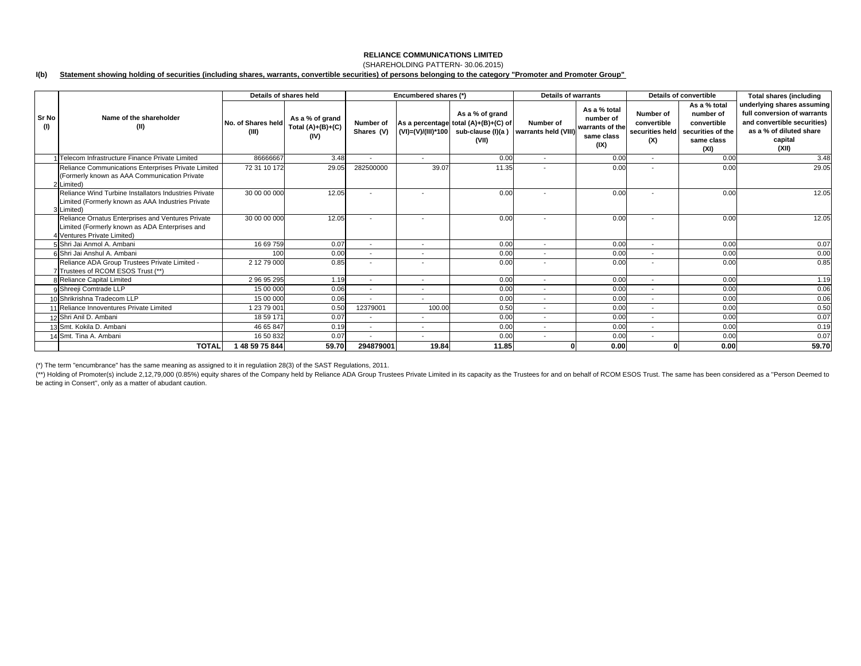### **RELIANCE COMMUNICATIONS LIMITED**(SHAREHOLDING PATTERN- 30.06.2015)

### **I(b) Statement showing holding of securities (including shares, warrants, convertible securities) of persons belonging to the category "Promoter and Promoter Group"**

|                     |                                                                                                                                    | Details of shares held      |                                                |                          | Encumbered shares (*)    |                                                                                                               | Details of warrants               |                                                                    | Details of convertible                             |                                                                                     | <b>Total shares (including</b>                                                                                                          |
|---------------------|------------------------------------------------------------------------------------------------------------------------------------|-----------------------------|------------------------------------------------|--------------------------|--------------------------|---------------------------------------------------------------------------------------------------------------|-----------------------------------|--------------------------------------------------------------------|----------------------------------------------------|-------------------------------------------------------------------------------------|-----------------------------------------------------------------------------------------------------------------------------------------|
| <b>Sr No</b><br>(1) | Name of the shareholder<br>(II)                                                                                                    | No. of Shares held<br>(III) | As a % of grand<br>Total $(A)+(B)+(C)$<br>(IV) | Number of<br>Shares (V)  |                          | As a % of grand<br>As a percentage total (A)+(B)+(C) of<br>$(VI) = (V)/(III)^*100$ sub-clause (I)(a)<br>(VII) | Number of<br>warrants held (VIII) | As a % total<br>number of<br>warrants of the<br>same class<br>(IX) | Number of<br>convertible<br>securities held<br>(X) | As a % total<br>number of<br>convertible<br>securities of the<br>same class<br>(XI) | underlying shares assuming<br>full conversion of warrants<br>and convertible securities)<br>as a % of diluted share<br>capital<br>(XII) |
|                     | 1 Telecom Infrastructure Finance Private Limited                                                                                   | 86666667                    | 3.48                                           | $\overline{\phantom{a}}$ | $\overline{\phantom{a}}$ | 0.00                                                                                                          | $\overline{\phantom{a}}$          | 0.00                                                               | $\sim$                                             | 0.00                                                                                | 3.48                                                                                                                                    |
|                     | Reliance Communications Enterprises Private Limited<br>(Formerly known as AAA Communication Private<br>2 Limited)                  | 72 31 10 172                | 29.05                                          | 282500000                | 39.07                    | 11.35                                                                                                         | $\overline{\phantom{0}}$          | 0.00                                                               |                                                    | 0.00                                                                                | 29.05                                                                                                                                   |
|                     | Reliance Wind Turbine Installators Industries Private<br>Limited (Formerly known as AAA Industries Private<br>3 Limited)           | 30 00 00 000                | 12.05                                          |                          | $\overline{\phantom{a}}$ | 0.00                                                                                                          |                                   | 0.00                                                               |                                                    | 0.00                                                                                | 12.05                                                                                                                                   |
|                     | Reliance Ornatus Enterprises and Ventures Private<br>Limited (Formerly known as ADA Enterprises and<br>4 Ventures Private Limited) | 30 00 00 000                | 12.05                                          |                          | $\overline{\phantom{a}}$ | 0.00                                                                                                          | $\overline{\phantom{a}}$          | 0.00                                                               |                                                    | 0.00                                                                                | 12.05                                                                                                                                   |
|                     | 5 Shri Jai Anmol A. Ambani                                                                                                         | 16 69 759                   | 0.07                                           | $\overline{\phantom{a}}$ | $\overline{\phantom{a}}$ | 0.00                                                                                                          | $\overline{\phantom{a}}$          | 0.00                                                               | $\overline{a}$                                     | 0.00                                                                                | 0.07                                                                                                                                    |
|                     | 6 Shri Jai Anshul A. Ambani                                                                                                        | 100                         | 0.00                                           | $\overline{\phantom{a}}$ |                          | 0.00                                                                                                          | $\overline{\phantom{a}}$          | 0.00                                                               |                                                    | 0.00                                                                                | 0.00                                                                                                                                    |
|                     | Reliance ADA Group Trustees Private Limited -<br>7 Trustees of RCOM ESOS Trust (**)                                                | 2 12 79 000                 | 0.85                                           | $\overline{\phantom{a}}$ |                          | 0.00                                                                                                          | $\overline{\phantom{a}}$          | 0.00                                                               |                                                    | 0.00                                                                                | 0.85                                                                                                                                    |
|                     | 8 Reliance Capital Limited                                                                                                         | 29695295                    | 1.19                                           | $\overline{\phantom{a}}$ | $\overline{\phantom{a}}$ | 0.00                                                                                                          | $\overline{\phantom{a}}$          | 0.00                                                               | $\sim$                                             | 0.00                                                                                | 1.19                                                                                                                                    |
|                     | 9 Shreeji Comtrade LLP                                                                                                             | 15 00 000                   | 0.06                                           | $\overline{\phantom{a}}$ | $\overline{\phantom{a}}$ | 0.00                                                                                                          | $\overline{\phantom{a}}$          | 0.00                                                               | $\overline{\phantom{a}}$                           | 0.00                                                                                | 0.06                                                                                                                                    |
|                     | 10 Shrikrishna Tradecom LLP                                                                                                        | 15 00 000                   | 0.06                                           | $\overline{\phantom{a}}$ | $\overline{\phantom{a}}$ | 0.00                                                                                                          | $\overline{\phantom{a}}$          | 0.00                                                               |                                                    | 0.00                                                                                | 0.06                                                                                                                                    |
|                     | 11 Reliance Innoventures Private Limited                                                                                           | 1 23 79 001                 | 0.50                                           | 12379001                 | 100.00                   | 0.50                                                                                                          | $\overline{\phantom{a}}$          | 0.00                                                               | $\overline{a}$                                     | 0.00                                                                                | 0.50                                                                                                                                    |
|                     | 12 Shri Anil D. Ambani                                                                                                             | 18 59 171                   | 0.07                                           | $\overline{\phantom{a}}$ |                          | 0.00                                                                                                          | $\overline{\phantom{a}}$          | 0.00                                                               | $\sim$                                             | 0.00                                                                                | 0.07                                                                                                                                    |
|                     | 13 Smt. Kokila D. Ambani                                                                                                           | 46 65 847                   | 0.19                                           | $\overline{\phantom{a}}$ |                          | 0.00                                                                                                          | $\overline{\phantom{a}}$          | 0.00                                                               |                                                    | 0.00                                                                                | 0.19                                                                                                                                    |
|                     | 14 Smt. Tina A. Ambani                                                                                                             | 16 50 832                   | 0.07                                           | $\overline{\phantom{a}}$ | $\overline{\phantom{a}}$ | 0.00                                                                                                          | $\overline{\phantom{a}}$          | 0.00                                                               | $\overline{a}$                                     | 0.00                                                                                | 0.07                                                                                                                                    |
|                     | <b>TOTAL</b>                                                                                                                       | 48 59 75 844                | 59.70                                          | 294879001                | 19.84                    | 11.85                                                                                                         |                                   | 0.00                                                               |                                                    | 0.00                                                                                | 59.70                                                                                                                                   |

(\*) The term "encumbrance" has the same meaning as assigned to it in regulatiion 28(3) of the SAST Regulations, 2011.

(\*\*) Holding of Promoter(s) include 2,12,79,000 (0.85%) equity shares of the Company held by Reliance ADA Group Trustees Private Limited in its capacity as the Trustees for and on behalf of RCOM ESOS Trust. The same has be be acting in Consert'', only as a matter of abudant caution.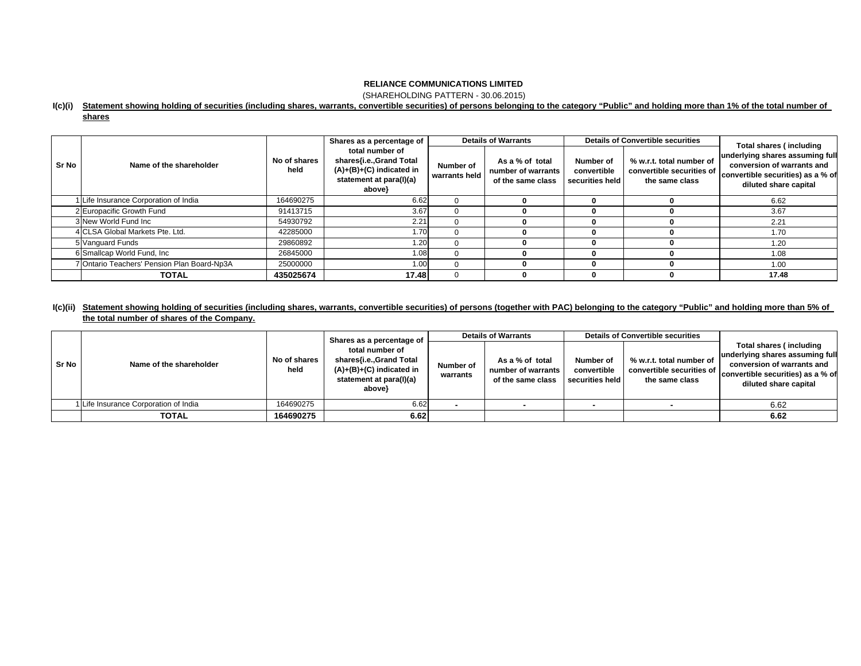(SHAREHOLDING PATTERN - 30.06.2015)

### **I(c)(i) Statement showing holding of securities (including shares, warrants, convertible securities) of persons belonging to the category "Public" and holding more than 1% of the total number of**

| ∵nare | 5 |
|-------|---|
|       |   |

|       |                                             |                      | Shares as a percentage of                                                                                     | <b>Details of Warrants</b> |                                                            |                                             | <b>Details of Convertible securities</b>                                | <b>Total shares (including</b>                                                                                              |  |
|-------|---------------------------------------------|----------------------|---------------------------------------------------------------------------------------------------------------|----------------------------|------------------------------------------------------------|---------------------------------------------|-------------------------------------------------------------------------|-----------------------------------------------------------------------------------------------------------------------------|--|
| Sr No | Name of the shareholder                     | No of shares<br>held | total number of<br>shares{i.e.,Grand Total<br>$(A)+(B)+(C)$ indicated in<br>statement at para(I)(a)<br>above} | Number of<br>warrants held | As a % of total<br>number of warrants<br>of the same class | Number of<br>convertible<br>securities held | % w.r.t. total number of<br>convertible securities of<br>the same class | underlying shares assuming full<br>conversion of warrants and<br>convertible securities) as a % of<br>diluted share capital |  |
|       | Life Insurance Corporation of India         | 164690275            | 6.62                                                                                                          |                            |                                                            |                                             |                                                                         | 6.62                                                                                                                        |  |
|       | 2 Europacific Growth Fund                   | 91413715             | 3.67                                                                                                          |                            |                                                            |                                             |                                                                         | 3.67                                                                                                                        |  |
|       | 3 New World Fund Inc                        | 54930792             | 2.21                                                                                                          |                            |                                                            |                                             |                                                                         | 2.21                                                                                                                        |  |
|       | 4 CLSA Global Markets Pte. Ltd.             | 42285000             | 1.70                                                                                                          |                            |                                                            |                                             |                                                                         | 1.70                                                                                                                        |  |
|       | 5 Vanguard Funds                            | 29860892             | 1.20 <sub>1</sub>                                                                                             |                            |                                                            |                                             |                                                                         | 1.20                                                                                                                        |  |
|       | 6 Smallcap World Fund, Inc.                 | 26845000             | 1.08                                                                                                          |                            |                                                            |                                             |                                                                         | 1.08                                                                                                                        |  |
|       | 7 Ontario Teachers' Pension Plan Board-Np3A | 25000000             | 1.00                                                                                                          |                            |                                                            |                                             |                                                                         | 1.00                                                                                                                        |  |
|       | <b>TOTAL</b>                                | 435025674            | 17.48                                                                                                         |                            |                                                            |                                             |                                                                         | 17.48                                                                                                                       |  |

### **I(c)(ii) Statement showing holding of securities (including shares, warrants, convertible securities) of persons (together with PAC) belonging to the category "Public" and holding more than 5% of the total number of shares of the Company.**

| Sr No |                                       |                      | Shares as a percentage of                                                                                     | <b>Details of Warrants</b> |                                                            | <b>Details of Convertible securities</b>    |                                                                         |                                                                                                                                                        |
|-------|---------------------------------------|----------------------|---------------------------------------------------------------------------------------------------------------|----------------------------|------------------------------------------------------------|---------------------------------------------|-------------------------------------------------------------------------|--------------------------------------------------------------------------------------------------------------------------------------------------------|
|       | Name of the shareholder               | No of shares<br>held | total number of<br>shares{i.e.,Grand Total<br>$(A)+(B)+(C)$ indicated in<br>statement at para(I)(a)<br>above} | Number of<br>warrants      | As a % of total<br>number of warrants<br>of the same class | Number of<br>convertible<br>securities held | % w.r.t. total number of<br>convertible securities of<br>the same class | Total shares (including<br>underlying shares assuming full<br>conversion of warrants and<br>convertible securities) as a % of<br>diluted share capital |
|       | 1 Life Insurance Corporation of India | 164690275            | 6.62                                                                                                          |                            |                                                            |                                             |                                                                         | 6.62                                                                                                                                                   |
|       | <b>TOTAL</b>                          | 164690275            | 6.62                                                                                                          |                            |                                                            |                                             |                                                                         | 6.62                                                                                                                                                   |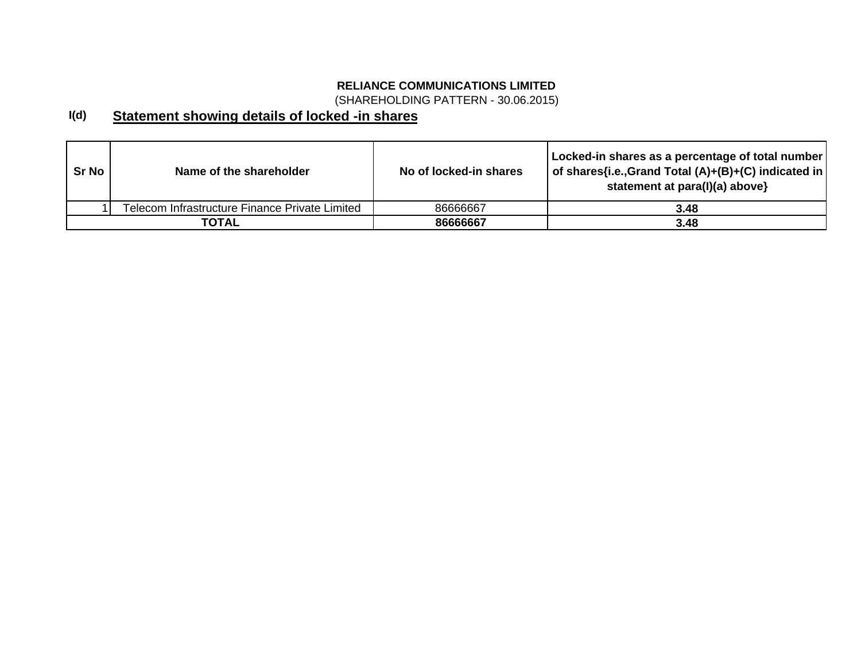(SHAREHOLDING PATTERN - 30.06.2015)

### **I(d) Statement showing details of locked -in shares**

| Sr No | Name of the shareholder                        | No of locked-in shares | Locked-in shares as a percentage of total number<br>of shares{i.e., Grand Total (A)+(B)+(C) indicated in<br>statement at para(I)(a) above} |
|-------|------------------------------------------------|------------------------|--------------------------------------------------------------------------------------------------------------------------------------------|
|       | Telecom Infrastructure Finance Private Limited | 86666667               | 3.48                                                                                                                                       |
|       | ΤΟΤΑL                                          | 86666667               | 3.48                                                                                                                                       |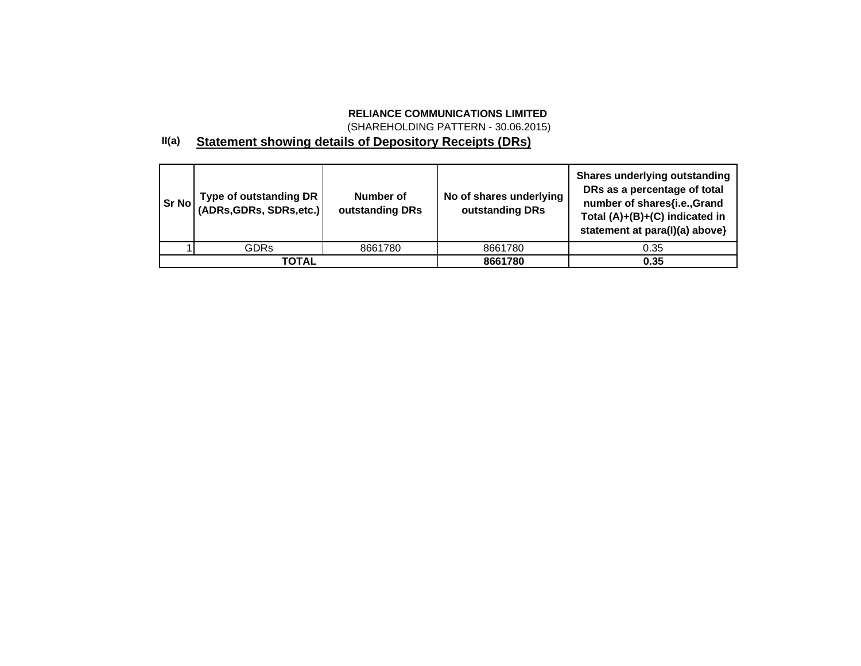(SHAREHOLDING PATTERN - 30.06.2015)

## **II(a) Statement showing details of Depository Receipts (DRs)**

| Sr No | Type of outstanding DR<br>(ADRs, GDRs, SDRs, etc.) | Number of<br>outstanding DRs | No of shares underlying<br>outstanding DRs | <b>Shares underlying outstanding</b><br>DRs as a percentage of total<br>number of shares{i.e.,Grand<br>Total (A)+(B)+(C) indicated in<br>statement at para(I)(a) above} |
|-------|----------------------------------------------------|------------------------------|--------------------------------------------|-------------------------------------------------------------------------------------------------------------------------------------------------------------------------|
|       | <b>GDRs</b>                                        | 8661780                      | 8661780                                    | 0.35                                                                                                                                                                    |
|       | TOTAL                                              |                              | 8661780                                    | 0.35                                                                                                                                                                    |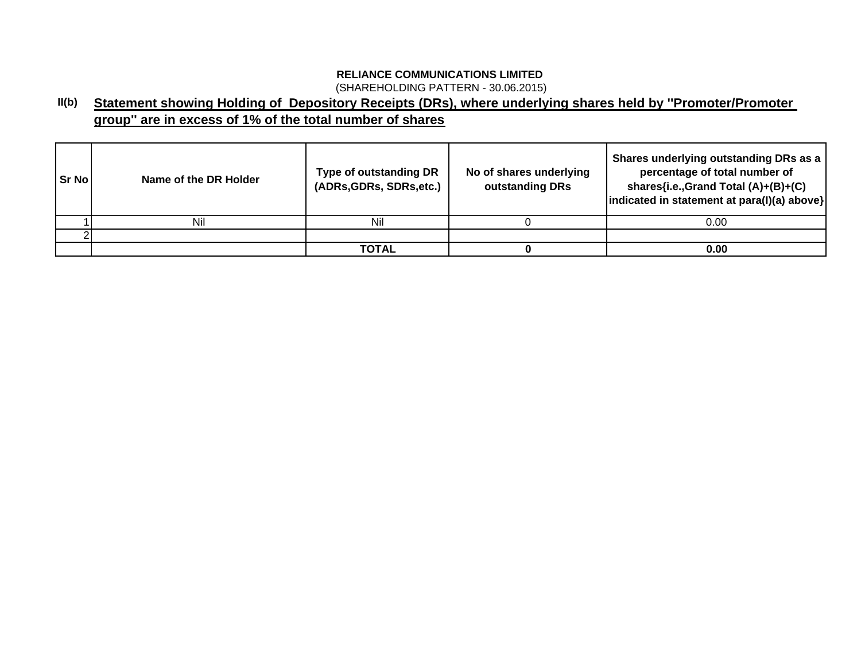(SHAREHOLDING PATTERN - 30.06.2015)

### **II(b) Statement showing Holding of Depository Receipts (DRs), where underlying shares held by ''Promoter/Promoter group'' are in excess of 1% of the total number of shares**

| l Sr No l | Name of the DR Holder | Type of outstanding DR<br>(ADRs, GDRs, SDRs, etc.) | No of shares underlying<br>outstanding DRs | Shares underlying outstanding DRs as a<br>percentage of total number of<br>shares{i.e.,Grand Total (A)+(B)+(C)<br>indicated in statement at para(I)(a) above} |
|-----------|-----------------------|----------------------------------------------------|--------------------------------------------|---------------------------------------------------------------------------------------------------------------------------------------------------------------|
|           | Nil                   | Nil                                                |                                            | 0.00                                                                                                                                                          |
|           |                       |                                                    |                                            |                                                                                                                                                               |
|           |                       | TOTAL                                              |                                            | 0.00                                                                                                                                                          |